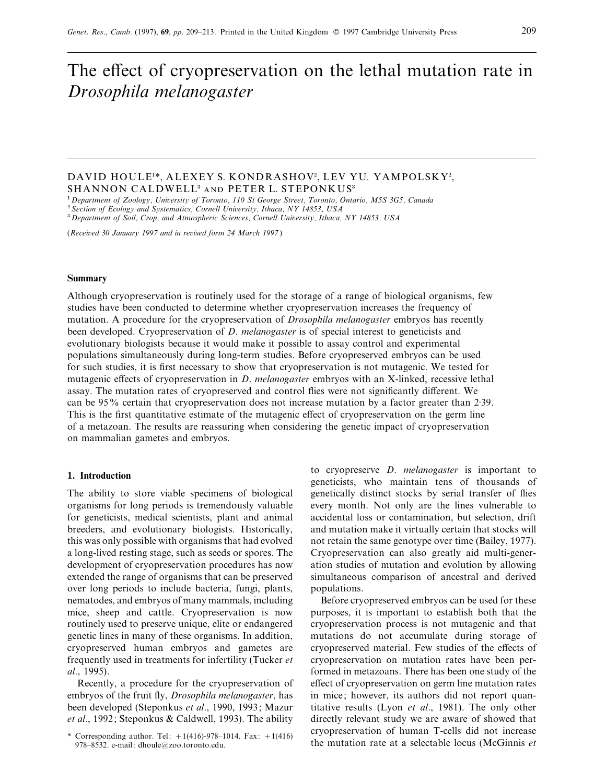# The effect of cryopreservation on the lethal mutation rate in *Drosophila melanogaster*

## DAVID HOULE<sup>1\*</sup>, ALEXEY S. KONDRASHOV<sup>2</sup>, LEV YU. YAMPOLSKY<sup>2</sup>, SHANNON CALDWELL<sup>3</sup> AND PETER L. STEPONKUS<sup>3</sup>

"*Department of Zoology, Uniersity of Toronto, <sup>11</sup>0 St George Street, Toronto, Ontario, M5S 3G5, Canada* #

*Section of Ecology and Systematics, Cornell Uniersity, Ithaca, NY 14853, USA*

\$*Department of Soil, Crop, and Atmospheric Sciences, Cornell Uniersity, Ithaca, NY <sup>1</sup>4853, USA*

(*Receied 30 January 1997 and in reised form 24 March 1997* )

#### **Summary**

Although cryopreservation is routinely used for the storage of a range of biological organisms, few studies have been conducted to determine whether cryopreservation increases the frequency of mutation. A procedure for the cryopreservation of *Drosophila melanogaster* embryos has recently been developed. Cryopreservation of *D*. *melanogaster* is of special interest to geneticists and evolutionary biologists because it would make it possible to assay control and experimental populations simultaneously during long-term studies. Before cryopreserved embryos can be used for such studies, it is first necessary to show that cryopreservation is not mutagenic. We tested for mutagenic effects of cryopreservation in *D*. *melanogaster* embryos with an X-linked, recessive lethal assay. The mutation rates of cryopreserved and control flies were not significantly different. We can be 95% certain that cryopreservation does not increase mutation by a factor greater than 2:39. This is the first quantitative estimate of the mutagenic effect of cryopreservation on the germ line of a metazoan. The results are reassuring when considering the genetic impact of cryopreservation on mammalian gametes and embryos.

### **1. Introduction**

The ability to store viable specimens of biological organisms for long periods is tremendously valuable for geneticists, medical scientists, plant and animal breeders, and evolutionary biologists. Historically, this was only possible with organisms that had evolved a long-lived resting stage, such as seeds or spores. The development of cryopreservation procedures has now extended the range of organisms that can be preserved over long periods to include bacteria, fungi, plants, nematodes, and embryos of many mammals, including mice, sheep and cattle. Cryopreservation is now routinely used to preserve unique, elite or endangered genetic lines in many of these organisms. In addition, cryopreserved human embryos and gametes are frequently used in treatments for infertility (Tucker *et al*., 1995).

Recently, a procedure for the cryopreservation of embryos of the fruit fly, *Drosophila melanogaster*, has been developed (Steponkus *et al*., 1990, 1993; Mazur *et al*., 1992; Steponkus & Caldwell, 1993). The ability to cryopreserve *D*. *melanogaster* is important to geneticists, who maintain tens of thousands of genetically distinct stocks by serial transfer of flies every month. Not only are the lines vulnerable to accidental loss or contamination, but selection, drift and mutation make it virtually certain that stocks will not retain the same genotype over time (Bailey, 1977). Cryopreservation can also greatly aid multi-generation studies of mutation and evolution by allowing simultaneous comparison of ancestral and derived populations.

Before cryopreserved embryos can be used for these purposes, it is important to establish both that the cryopreservation process is not mutagenic and that mutations do not accumulate during storage of cryopreserved material. Few studies of the effects of cryopreservation on mutation rates have been performed in metazoans. There has been one study of the effect of cryopreservation on germ line mutation rates in mice; however, its authors did not report quantitative results (Lyon *et al*., 1981). The only other directly relevant study we are aware of showed that cryopreservation of human T-cells did not increase the mutation rate at a selectable locus (McGinnis *et*

Corresponding author. Tel:  $+1(416)-978-1014$ . Fax:  $+1(416)$ 978–8532. e-mail: dhoule@zoo.toronto.edu.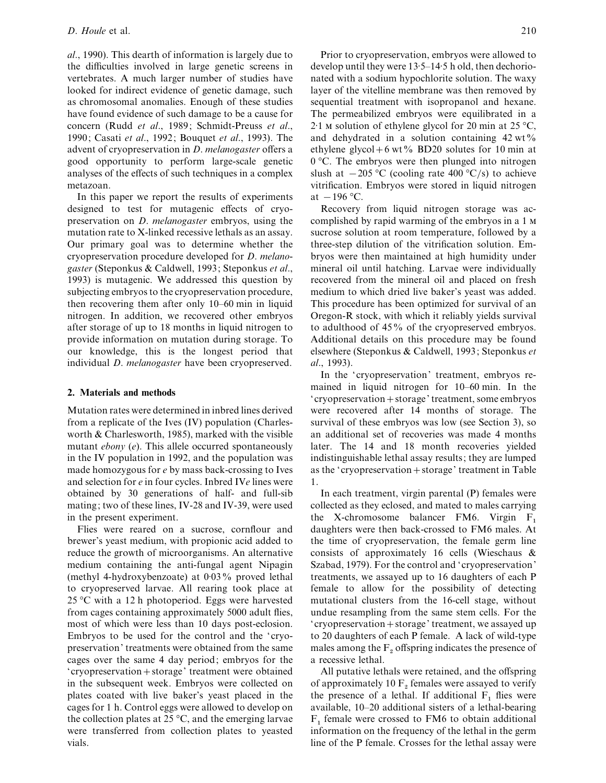*al*., 1990). This dearth of information is largely due to the difficulties involved in large genetic screens in vertebrates. A much larger number of studies have looked for indirect evidence of genetic damage, such as chromosomal anomalies. Enough of these studies have found evidence of such damage to be a cause for concern (Rudd *et al*., 1989; Schmidt-Preuss *et al*., 1990; Casati *et al*., 1992; Bouquet *et al*., 1993). The advent of cryopreservation in *D*. *melanogaster* offers a good opportunity to perform large-scale genetic analyses of the effects of such techniques in a complex metazoan.

In this paper we report the results of experiments designed to test for mutagenic effects of cryopreservation on *D*. *melanogaster* embryos, using the mutation rate to X-linked recessive lethals as an assay. Our primary goal was to determine whether the cryopreservation procedure developed for *D*. *melanogaster* (Steponkus & Caldwell, 1993; Steponkus *et al*., 1993) is mutagenic. We addressed this question by subjecting embryos to the cryopreservation procedure, then recovering them after only 10–60 min in liquid nitrogen. In addition, we recovered other embryos after storage of up to 18 months in liquid nitrogen to provide information on mutation during storage. To our knowledge, this is the longest period that individual *D*. *melanogaster* have been cryopreserved.

### **2. Materials and methods**

Mutation rates were determined in inbred lines derived from a replicate of the Ives (IV) population (Charlesworth & Charlesworth, 1985), marked with the visible mutant *ebony* (*e*). This allele occurred spontaneously in the IV population in 1992, and the population was made homozygous for *e* by mass back-crossing to Ives and selection for *e* in four cycles. Inbred IV*e* lines were obtained by 30 generations of half- and full-sib mating; two of these lines, IV-28 and IV-39, were used in the present experiment.

Flies were reared on a sucrose, cornflour and brewer's yeast medium, with propionic acid added to reduce the growth of microorganisms. An alternative medium containing the anti-fungal agent Nipagin (methyl 4-hydroxybenzoate) at  $0.03\%$  proved lethal to cryopreserved larvae. All rearing took place at 25 °C with a 12 h photoperiod. Eggs were harvested from cages containing approximately 5000 adult flies, most of which were less than 10 days post-eclosion. Embryos to be used for the control and the 'cryopreservation' treatments were obtained from the same cages over the same 4 day period; embryos for the 'cryopreservation+storage' treatment were obtained in the subsequent week. Embryos were collected on plates coated with live baker's yeast placed in the cages for 1 h. Control eggs were allowed to develop on the collection plates at 25 °C, and the emerging larvae were transferred from collection plates to yeasted vials.

Prior to cryopreservation, embryos were allowed to develop until they were  $13.5-14.5$  h old, then dechorionated with a sodium hypochlorite solution. The waxy layer of the vitelline membrane was then removed by sequential treatment with isopropanol and hexane. The permeabilized embryos were equilibrated in a 2.1 M solution of ethylene glycol for 20 min at 25  $\textdegree$ C, and dehydrated in a solution containing  $42 \text{ wt } \%$ ethylene glycol + 6 wt% BD20 solutes for 10 min at 0 °C. The embryos were then plunged into nitrogen slush at  $-205 \,^{\circ}\text{C}$  (cooling rate 400 °C/s) to achieve vitrification. Embryos were stored in liquid nitrogen at  $-196$  °C.

Recovery from liquid nitrogen storage was accomplished by rapid warming of the embryos in a 1 sucrose solution at room temperature, followed by a three-step dilution of the vitrification solution. Embryos were then maintained at high humidity under mineral oil until hatching. Larvae were individually recovered from the mineral oil and placed on fresh medium to which dried live baker's yeast was added. This procedure has been optimized for survival of an Oregon-R stock, with which it reliably yields survival to adulthood of 45% of the cryopreserved embryos. Additional details on this procedure may be found elsewhere (Steponkus & Caldwell, 1993; Steponkus *et al*., 1993).

In the 'cryopreservation' treatment, embryos remained in liquid nitrogen for 10–60 min. In the 'cryopreservation + storage' treatment, some embryos were recovered after 14 months of storage. The survival of these embryos was low (see Section 3), so an additional set of recoveries was made 4 months later. The 14 and 18 month recoveries yielded indistinguishable lethal assay results; they are lumped as the 'cryopreservation  $+$  storage' treatment in Table 1.

In each treatment, virgin parental (P) females were collected as they eclosed, and mated to males carrying the X-chromosome balancer FM6. Virgin  $F_1$  daughters were then back-crossed to FM6 males. At the time of cryopreservation, the female germ line consists of approximately 16 cells (Wieschaus & Szabad, 1979). For the control and 'cryopreservation' treatments, we assayed up to 16 daughters of each P female to allow for the possibility of detecting mutational clusters from the 16-cell stage, without undue resampling from the same stem cells. For the 'cryopreservation + storage' treatment, we assayed up to 20 daughters of each P female. A lack of wild-type males among the  $F_2$  offspring indicates the presence of a recessive lethal.

All putative lethals were retained, and the offspring of approximately 10  $F_2$  females were assayed to verify the presence of a lethal. If additional  $F_1$  flies were available, 10–20 additional sisters of a lethal-bearing  $F_1$  female were crossed to FM6 to obtain additional information on the frequency of the lethal in the germ line of the P female. Crosses for the lethal assay were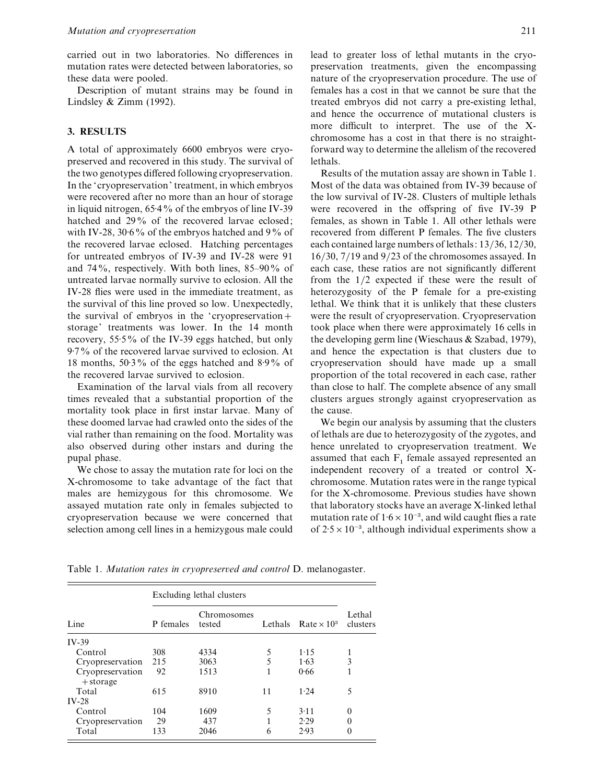carried out in two laboratories. No differences in mutation rates were detected between laboratories, so these data were pooled.

Description of mutant strains may be found in Lindsley  $& Zimm(1992).$ 

## **3. RESULTS**

A total of approximately 6600 embryos were cryopreserved and recovered in this study. The survival of the two genotypes differed following cryopreservation. In the 'cryopreservation' treatment, in which embryos were recovered after no more than an hour of storage in liquid nitrogen,  $65.4\%$  of the embryos of line IV-39 hatched and 29% of the recovered larvae eclosed; with IV-28, 30 $\cdot$ 6% of the embryos hatched and 9% of the recovered larvae eclosed. Hatching percentages for untreated embryos of IV-39 and IV-28 were 91 and 74%, respectively. With both lines, 85–90% of untreated larvae normally survive to eclosion. All the IV-28 flies were used in the immediate treatment, as the survival of this line proved so low. Unexpectedly, the survival of embryos in the 'cryopreservation+ storage' treatments was lower. In the 14 month recovery, 55.5% of the IV-39 eggs hatched, but only 9±7% of the recovered larvae survived to eclosion. At 18 months,  $50.3\%$  of the eggs hatched and  $8.9\%$  of the recovered larvae survived to eclosion.

Examination of the larval vials from all recovery times revealed that a substantial proportion of the mortality took place in first instar larvae. Many of these doomed larvae had crawled onto the sides of the vial rather than remaining on the food. Mortality was also observed during other instars and during the pupal phase.

We chose to assay the mutation rate for loci on the X-chromosome to take advantage of the fact that males are hemizygous for this chromosome. We assayed mutation rate only in females subjected to cryopreservation because we were concerned that selection among cell lines in a hemizygous male could

lead to greater loss of lethal mutants in the cryopreservation treatments, given the encompassing nature of the cryopreservation procedure. The use of females has a cost in that we cannot be sure that the treated embryos did not carry a pre-existing lethal, and hence the occurrence of mutational clusters is more difficult to interpret. The use of the Xchromosome has a cost in that there is no straightforward way to determine the allelism of the recovered lethals.

Results of the mutation assay are shown in Table 1. Most of the data was obtained from IV-39 because of the low survival of IV-28. Clusters of multiple lethals were recovered in the offspring of five IV-39 P females, as shown in Table 1. All other lethals were recovered from different P females. The five clusters each contained large numbers of lethals: 13/36, 12/30,  $16/30$ ,  $7/19$  and  $9/23$  of the chromosomes assayed. In each case, these ratios are not significantly different from the  $1/2$  expected if these were the result of heterozygosity of the P female for a pre-existing lethal. We think that it is unlikely that these clusters were the result of cryopreservation. Cryopreservation took place when there were approximately 16 cells in the developing germ line (Wieschaus & Szabad, 1979), and hence the expectation is that clusters due to cryopreservation should have made up a small proportion of the total recovered in each case, rather than close to half. The complete absence of any small clusters argues strongly against cryopreservation as the cause.

We begin our analysis by assuming that the clusters of lethals are due to heterozygosity of the zygotes, and hence unrelated to cryopreservation treatment. We assumed that each  $F_1$  female assayed represented an independent recovery of a treated or control Xchromosome. Mutation rates were in the range typical for the X-chromosome. Previous studies have shown that laboratory stocks have an average X-linked lethal mutation rate of  $1.6 \times 10^{-3}$ , and wild caught flies a rate of  $2.5 \times 10^{-3}$ , although individual experiments show a

Table 1. *Mutation rates in cryopresered and control* D. melanogaster.

| Line                            | Excluding lethal clusters |                       |    |                            |                    |
|---------------------------------|---------------------------|-----------------------|----|----------------------------|--------------------|
|                                 | P females                 | Chromosomes<br>tested |    | Lethals Rate $\times 10^3$ | Lethal<br>clusters |
| $IV-39$                         |                           |                       |    |                            |                    |
| Control                         | 308                       | 4334                  | 5  | 1.15                       |                    |
| Cryopreservation                | 215                       | 3063                  | 5  | 1.63                       | 3                  |
| Cryopreservation<br>$+$ storage | 92                        | 1513                  |    | 0.66                       |                    |
| Total                           | 615                       | 8910                  | 11 | 1.24                       | 5                  |
| $IV-28$                         |                           |                       |    |                            |                    |
| Control                         | 104                       | 1609                  | 5  | 3.11                       | $\theta$           |
| Cryopreservation                | 29                        | 437                   |    | 2.29                       | $\theta$           |
| Total                           | 133                       | 2046                  | 6  | 2.93                       | $\theta$           |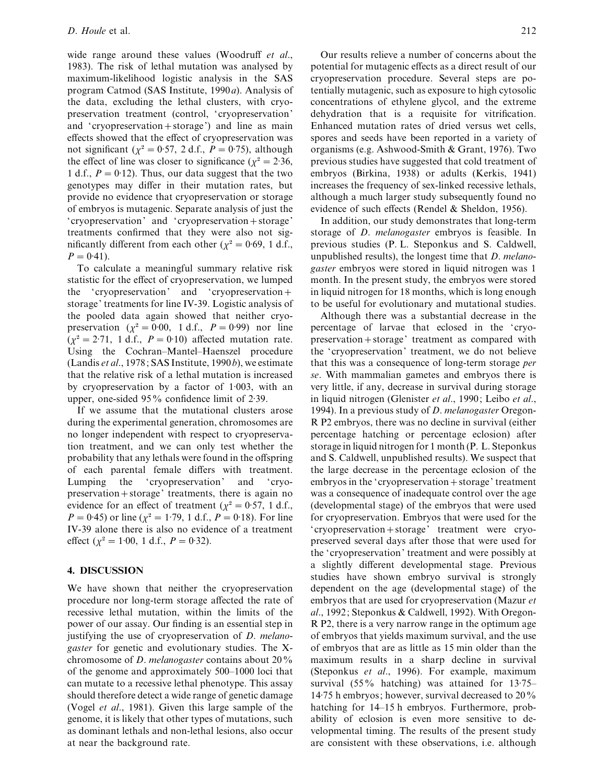wide range around these values (Woodruff *et al*., 1983). The risk of lethal mutation was analysed by maximum-likelihood logistic analysis in the SAS program Catmod (SAS Institute, 1990*a*). Analysis of the data, excluding the lethal clusters, with cryopreservation treatment (control, 'cryopreservation' and 'cryopreservation  $+$  storage') and line as main effects showed that the effect of cryopreservation was not significant ( $\chi^2 = 0.57$ , 2 d.f.,  $P = 0.75$ ), although the effect of line was closer to significance ( $\chi^2 = 2.36$ , 1 d.f.,  $P = 0.12$ ). Thus, our data suggest that the two genotypes may differ in their mutation rates, but provide no evidence that cryopreservation or storage of embryos is mutagenic. Separate analysis of just the 'cryopreservation' and 'cryopreservation+storage' treatments confirmed that they were also not significantly different from each other ( $\chi^2 = 0.69$ , 1 d.f.,  $P = 0.41$ ).

To calculate a meaningful summary relative risk statistic for the effect of cryopreservation, we lumped the 'cryopreservation' and 'cryopreservationstorage' treatments for line IV-39. Logistic analysis of the pooled data again showed that neither cryopreservation ( $\chi^2 = 0.00$ , 1 d.f.,  $P = 0.99$ ) nor line  $(\chi^2 = 2.71, 1 \text{ d.f., } P = 0.10)$  affected mutation rate. Using the Cochran–Mantel–Haenszel procedure (Landis *et al*., 1978; SAS Institute, 1990*b*), we estimate that the relative risk of a lethal mutation is increased by cryopreservation by a factor of  $1:003$ , with an upper, one-sided  $95\%$  confidence limit of 2.39.

If we assume that the mutational clusters arose during the experimental generation, chromosomes are no longer independent with respect to cryopreservation treatment, and we can only test whether the probability that any lethals were found in the offspring of each parental female differs with treatment. Lumping the 'cryopreservation' and 'cryopreservation  $+$  storage' treatments, there is again no evidence for an effect of treatment ( $\chi^2 = 0.57$ , 1 d.f., *P* = 0.45) or line ( $\chi^2$  = 1.79, 1 d.f., *P* = 0.18). For line IV-39 alone there is also no evidence of a treatment effect ( $\chi^2 = 1.00$ , 1 d.f.,  $P = 0.32$ ).

# **4. DISCUSSION**

We have shown that neither the cryopreservation procedure nor long-term storage affected the rate of recessive lethal mutation, within the limits of the power of our assay. Our finding is an essential step in justifying the use of cryopreservation of *D*. *melanogaster* for genetic and evolutionary studies. The Xchromosome of *D*. *melanogaster* contains about 20% of the genome and approximately 500–1000 loci that can mutate to a recessive lethal phenotype. This assay should therefore detect a wide range of genetic damage (Vogel *et al*., 1981). Given this large sample of the genome, it is likely that other types of mutations, such as dominant lethals and non-lethal lesions, also occur at near the background rate.

Our results relieve a number of concerns about the potential for mutagenic effects as a direct result of our cryopreservation procedure. Several steps are potentially mutagenic, such as exposure to high cytosolic concentrations of ethylene glycol, and the extreme dehydration that is a requisite for vitrification. Enhanced mutation rates of dried versus wet cells, spores and seeds have been reported in a variety of organisms (e.g. Ashwood-Smith & Grant, 1976). Two previous studies have suggested that cold treatment of embryos (Birkina, 1938) or adults (Kerkis, 1941) increases the frequency of sex-linked recessive lethals, although a much larger study subsequently found no evidence of such effects (Rendel & Sheldon, 1956).

In addition, our study demonstrates that long-term storage of *D*. *melanogaster* embryos is feasible. In previous studies (P. L. Steponkus and S. Caldwell, unpublished results), the longest time that *D*. *melanogaster* embryos were stored in liquid nitrogen was 1 month. In the present study, the embryos were stored in liquid nitrogen for 18 months, which is long enough to be useful for evolutionary and mutational studies.

Although there was a substantial decrease in the percentage of larvae that eclosed in the 'cryopreservation+storage' treatment as compared with the 'cryopreservation' treatment, we do not believe that this was a consequence of long-term storage *per se*. With mammalian gametes and embryos there is very little, if any, decrease in survival during storage in liquid nitrogen (Glenister *et al*., 1990; Leibo *et al*., 1994). In a previous study of *D*. *melanogaster* Oregon-R P2 embryos, there was no decline in survival (either percentage hatching or percentage eclosion) after storage in liquid nitrogen for 1 month (P. L. Steponkus and S. Caldwell, unpublished results). We suspect that the large decrease in the percentage eclosion of the embryos in the 'cryopreservation + storage' treatment was a consequence of inadequate control over the age (developmental stage) of the embryos that were used for cryopreservation. Embryos that were used for the 'cryopreservation+storage' treatment were cryopreserved several days after those that were used for the 'cryopreservation' treatment and were possibly at a slightly different developmental stage. Previous studies have shown embryo survival is strongly dependent on the age (developmental stage) of the embryos that are used for cryopreservation (Mazur *et al*., 1992; Steponkus & Caldwell, 1992). With Oregon-R P2, there is a very narrow range in the optimum age of embryos that yields maximum survival, and the use of embryos that are as little as 15 min older than the maximum results in a sharp decline in survival (Steponkus *et al*., 1996). For example, maximum survival (55% hatching) was attained for  $13.75-$ 14±75 h embryos; however, survival decreased to 20% hatching for 14–15 h embryos. Furthermore, probability of eclosion is even more sensitive to developmental timing. The results of the present study are consistent with these observations, i.e. although